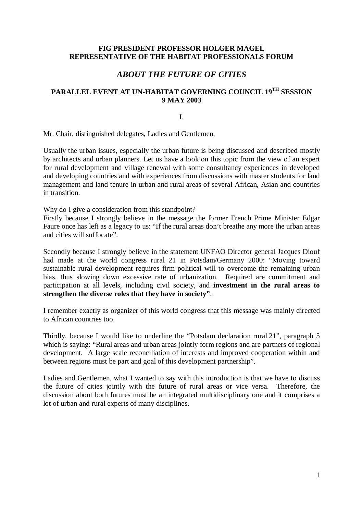### **FIG PRESIDENT PROFESSOR HOLGER MAGEL REPRESENTATIVE OF THE HABITAT PROFESSIONALS FORUM**

# *ABOUT THE FUTURE OF CITIES*

# **PARALLEL EVENT AT UN-HABITAT GOVERNING COUNCIL 19TH SESSION 9 MAY 2003**

I.

Mr. Chair, distinguished delegates, Ladies and Gentlemen,

Usually the urban issues, especially the urban future is being discussed and described mostly by architects and urban planners. Let us have a look on this topic from the view of an expert for rural development and village renewal with some consultancy experiences in developed and developing countries and with experiences from discussions with master students for land management and land tenure in urban and rural areas of several African, Asian and countries in transition.

Why do I give a consideration from this standpoint?

Firstly because I strongly believe in the message the former French Prime Minister Edgar Faure once has left as a legacy to us: "If the rural areas don't breathe any more the urban areas and cities will suffocate".

Secondly because I strongly believe in the statement UNFAO Director general Jacques Diouf had made at the world congress rural 21 in Potsdam/Germany 2000: "Moving toward sustainable rural development requires firm political will to overcome the remaining urban bias, thus slowing down excessive rate of urbanization. Required are commitment and participation at all levels, including civil society, and **investment in the rural areas to strengthen the diverse roles that they have in society"**.

I remember exactly as organizer of this world congress that this message was mainly directed to African countries too.

Thirdly, because I would like to underline the "Potsdam declaration rural 21", paragraph 5 which is saying: "Rural areas and urban areas jointly form regions and are partners of regional development. A large scale reconciliation of interests and improved cooperation within and between regions must be part and goal of this development partnership".

Ladies and Gentlemen, what I wanted to say with this introduction is that we have to discuss the future of cities jointly with the future of rural areas or vice versa. Therefore, the discussion about both futures must be an integrated multidisciplinary one and it comprises a lot of urban and rural experts of many disciplines.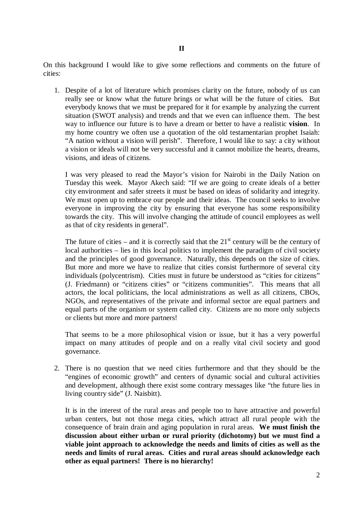On this background I would like to give some reflections and comments on the future of cities:

1. Despite of a lot of literature which promises clarity on the future, nobody of us can really see or know what the future brings or what will be the future of cities. But everybody knows that we must be prepared for it for example by analyzing the current situation (SWOT analysis) and trends and that we even can influence them. The best way to influence our future is to have a dream or better to have a realistic **vision**. In my home country we often use a quotation of the old testamentarian prophet Isaiah: "A nation without a vision will perish". Therefore, I would like to say: a city without a vision or ideals will not be very successful and it cannot mobilize the hearts, dreams, visions, and ideas of citizens.

I was very pleased to read the Mayor's vision for Nairobi in the Daily Nation on Tuesday this week. Mayor Akech said: "If we are going to create ideals of a better city environment and safer streets it must be based on ideas of solidarity and integrity. We must open up to embrace our people and their ideas. The council seeks to involve everyone in improving the city by ensuring that everyone has some responsibility towards the city. This will involve changing the attitude of council employees as well as that of city residents in general".

The future of cities – and it is correctly said that the  $21<sup>st</sup>$  century will be the century of local authorities – lies in this local politics to implement the paradigm of civil society and the principles of good governance. Naturally, this depends on the size of cities. But more and more we have to realize that cities consist furthermore of several city individuals (polycentrism). Cities must in future be understood as "cities for citizens" (J. Friedmann) or "citizens cities" or "citizens communities". This means that all actors, the local politicians, the local administrations as well as all citizens, CBOs, NGOs, and representatives of the private and informal sector are equal partners and equal parts of the organism or system called city. Citizens are no more only subjects or clients but more and more partners!

That seems to be a more philosophical vision or issue, but it has a very powerful impact on many attitudes of people and on a really vital civil society and good governance.

2. There is no question that we need cities furthermore and that they should be the "engines of economic growth" and centers of dynamic social and cultural activities and development, although there exist some contrary messages like "the future lies in living country side" (J. Naisbitt).

It is in the interest of the rural areas and people too to have attractive and powerful urban centers, but not those mega cities, which attract all rural people with the consequence of brain drain and aging population in rural areas. **We must finish the discussion about either urban or rural priority (dichotomy) but we must find a viable joint approach to acknowledge the needs and limits of cities as well as the needs and limits of rural areas. Cities and rural areas should acknowledge each other as equal partners! There is no hierarchy!**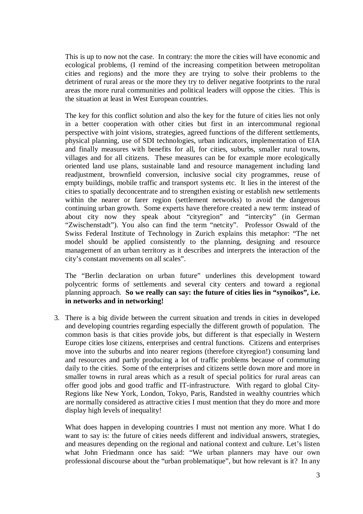This is up to now not the case. In contrary: the more the cities will have economic and ecological problems, (I remind of the increasing competition between metropolitan cities and regions) and the more they are trying to solve their problems to the detriment of rural areas or the more they try to deliver negative footprints to the rural areas the more rural communities and political leaders will oppose the cities. This is the situation at least in West European countries.

The key for this conflict solution and also the key for the future of cities lies not only in a better cooperation with other cities but first in an intercommunal regional perspective with joint visions, strategies, agreed functions of the different settlements, physical planning, use of SDI technologies, urban indicators, implementation of EIA and finally measures with benefits for all, for cities, suburbs, smaller rural towns, villages and for all citizens. These measures can be for example more ecologically oriented land use plans, sustainable land and resource management including land readjustment, brownfield conversion, inclusive social city programmes, reuse of empty buildings, mobile traffic and transport systems etc. It lies in the interest of the cities to spatially deconcentrate and to strengthen existing or establish new settlements within the nearer or farer region (settlement networks) to avoid the dangerous continuing urban growth. Some experts have therefore created a new term: instead of about city now they speak about "cityregion" and "intercity" (in German "Zwischenstadt"). You also can find the term "netcity". Professor Oswald of the Swiss Federal Institute of Technology in Zurich explains this metaphor: "The net model should be applied consistently to the planning, designing and resource management of an urban territory as it describes and interprets the interaction of the city's constant movements on all scales".

The "Berlin declaration on urban future" underlines this development toward polycentric forms of settlements and several city centers and toward a regional planning approach. **So we really can say: the future of cities lies in "synoikos", i.e. in networks and in networking!** 

3. There is a big divide between the current situation and trends in cities in developed and developing countries regarding especially the different growth of population. The common basis is that cities provide jobs, but different is that especially in Western Europe cities lose citizens, enterprises and central functions. Citizens and enterprises move into the suburbs and into nearer regions (therefore cityregion!) consuming land and resources and partly producing a lot of traffic problems because of commuting daily to the cities. Some of the enterprises and citizens settle down more and more in smaller towns in rural areas which as a result of special politics for rural areas can offer good jobs and good traffic and IT-infrastructure. With regard to global City-Regions like New York, London, Tokyo, Paris, Randsted in wealthy countries which are normally considered as attractive cities I must mention that they do more and more display high levels of inequality!

What does happen in developing countries I must not mention any more. What I do want to say is: the future of cities needs different and individual answers, strategies, and measures depending on the regional and national context and culture. Let's listen what John Friedmann once has said: "We urban planners may have our own professional discourse about the "urban problematique", but how relevant is it? In any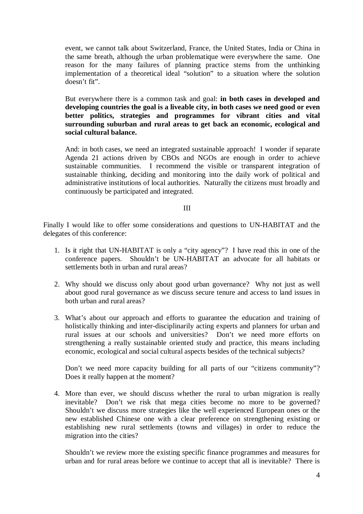event, we cannot talk about Switzerland, France, the United States, India or China in the same breath, although the urban problematique were everywhere the same. One reason for the many failures of planning practice stems from the unthinking implementation of a theoretical ideal "solution" to a situation where the solution doesn't fit".

But everywhere there is a common task and goal: **in both cases in developed and developing countries the goal is a liveable city, in both cases we need good or even better politics, strategies and programmes for vibrant cities and vital surrounding suburban and rural areas to get back an economic, ecological and social cultural balance.** 

And: in both cases, we need an integrated sustainable approach! I wonder if separate Agenda 21 actions driven by CBOs and NGOs are enough in order to achieve sustainable communities. I recommend the visible or transparent integration of sustainable thinking, deciding and monitoring into the daily work of political and administrative institutions of local authorities. Naturally the citizens must broadly and continuously be participated and integrated.

### III

Finally I would like to offer some considerations and questions to UN-HABITAT and the delegates of this conference:

- 1. Is it right that UN-HABITAT is only a "city agency"? I have read this in one of the conference papers. Shouldn't be UN-HABITAT an advocate for all habitats or settlements both in urban and rural areas?
- 2. Why should we discuss only about good urban governance? Why not just as well about good rural governance as we discuss secure tenure and access to land issues in both urban and rural areas?
- 3. What's about our approach and efforts to guarantee the education and training of holistically thinking and inter-disciplinarily acting experts and planners for urban and rural issues at our schools and universities? Don't we need more efforts on strengthening a really sustainable oriented study and practice, this means including economic, ecological and social cultural aspects besides of the technical subjects?

Don't we need more capacity building for all parts of our "citizens community"? Does it really happen at the moment?

4. More than ever, we should discuss whether the rural to urban migration is really inevitable? Don't we risk that mega cities become no more to be governed? Shouldn't we discuss more strategies like the well experienced European ones or the new established Chinese one with a clear preference on strengthening existing or establishing new rural settlements (towns and villages) in order to reduce the migration into the cities?

Shouldn't we review more the existing specific finance programmes and measures for urban and for rural areas before we continue to accept that all is inevitable? There is